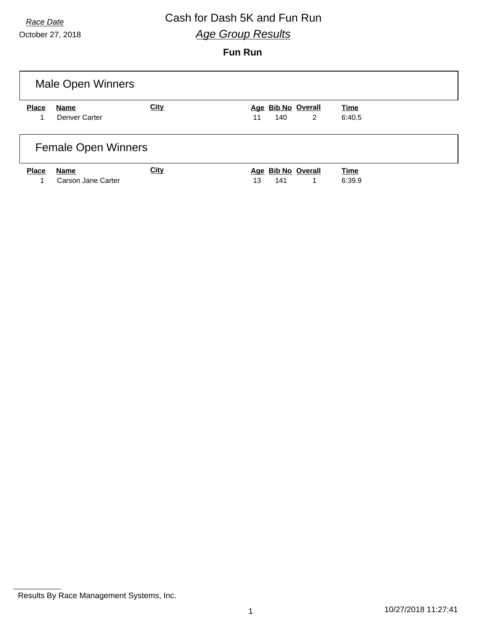# *Race Date* Cash for Dash 5K and Fun Run *Age Group Results*

October 27, 2018

### **Fun Run**

| <b>Male Open Winners</b>   |                            |             |                                      |                       |  |  |  |  |  |
|----------------------------|----------------------------|-------------|--------------------------------------|-----------------------|--|--|--|--|--|
| <b>Place</b>               | Name<br>Denver Carter      | <b>City</b> | Age Bib No Overall<br>140<br>2<br>11 | <b>Time</b><br>6:40.5 |  |  |  |  |  |
| <b>Female Open Winners</b> |                            |             |                                      |                       |  |  |  |  |  |
| <b>Place</b>               | Name<br>Carson Jane Carter | <b>City</b> | Age Bib No Overall<br>141<br>13<br>1 | <b>Time</b><br>6:39.9 |  |  |  |  |  |

Results By Race Management Systems, Inc.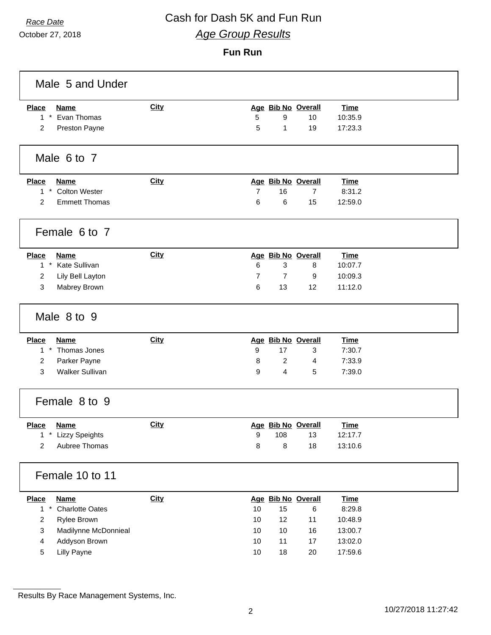# *Race Date* Cash for Dash 5K and Fun Run *Age Group Results*

October 27, 2018

#### **Fun Run**

| Male 5 and Under                       |             |                |                    |                    |             |  |  |  |  |  |
|----------------------------------------|-------------|----------------|--------------------|--------------------|-------------|--|--|--|--|--|
| <b>Place</b><br><b>Name</b>            | City        |                |                    | Age Bib No Overall | <b>Time</b> |  |  |  |  |  |
| $1 *$<br>Evan Thomas                   |             | 5              | 9                  | 10                 | 10:35.9     |  |  |  |  |  |
| 2<br>Preston Payne                     |             | 5              | 1                  | 19                 | 17:23.3     |  |  |  |  |  |
| Male 6 to 7                            |             |                |                    |                    |             |  |  |  |  |  |
| <b>Place</b><br><b>Name</b>            | City        |                |                    | Age Bib No Overall | Time        |  |  |  |  |  |
| <b>Colton Wester</b><br>$1*$           |             | $\overline{7}$ | 16                 | $\overline{7}$     | 8:31.2      |  |  |  |  |  |
| $\overline{2}$<br><b>Emmett Thomas</b> |             | 6              | 6                  | 15                 | 12:59.0     |  |  |  |  |  |
| Female 6 to 7                          |             |                |                    |                    |             |  |  |  |  |  |
| <b>Place</b><br>Name                   | <b>City</b> |                |                    | Age Bib No Overall | <b>Time</b> |  |  |  |  |  |
| 1 * Kate Sullivan                      |             | 6              | 3                  | 8                  | 10:07.7     |  |  |  |  |  |
| 2<br>Lily Bell Layton                  |             | 7              | 7                  | 9                  | 10:09.3     |  |  |  |  |  |
| 3<br>Mabrey Brown                      |             | 6              | 13                 | 12                 | 11:12.0     |  |  |  |  |  |
| Male 8 to 9                            |             |                |                    |                    |             |  |  |  |  |  |
| <b>Place</b><br><b>Name</b>            | City        |                |                    | Age Bib No Overall | Time        |  |  |  |  |  |
| $1*$<br>Thomas Jones                   |             | 9              | 17                 | 3                  | 7:30.7      |  |  |  |  |  |
| Parker Payne<br>2                      |             | 8              | $\overline{c}$     | 4                  | 7:33.9      |  |  |  |  |  |
| 3<br><b>Walker Sullivan</b>            |             | 9              | 4                  | 5                  | 7:39.0      |  |  |  |  |  |
| Female 8 to 9                          |             |                |                    |                    |             |  |  |  |  |  |
| <b>Place</b><br><b>Name</b>            | <b>City</b> |                | Age Bib No Overall |                    | <b>Time</b> |  |  |  |  |  |
| * Lizzy Speights<br>1                  |             | 9              | 108                | 13                 | 12:17.7     |  |  |  |  |  |
| 2<br>Aubree Thomas                     |             | 8              | 8                  | 18                 | 13:10.6     |  |  |  |  |  |
| Female 10 to 11                        |             |                |                    |                    |             |  |  |  |  |  |
| <b>Name</b><br><b>Place</b>            | City        |                |                    | Age Bib No Overall | <b>Time</b> |  |  |  |  |  |
| $1 *$<br><b>Charlotte Oates</b>        |             | 10             | 15                 | 6                  | 8:29.8      |  |  |  |  |  |
| Rylee Brown<br>2                       |             | 10             | 12                 | 11                 | 10:48.9     |  |  |  |  |  |
| 3<br>Madilynne McDonnieal              |             | 10             | $10$               | 16                 | 13:00.7     |  |  |  |  |  |
| 4<br>Addyson Brown                     |             | 10             | 11                 | 17                 | 13:02.0     |  |  |  |  |  |
| 5<br><b>Lilly Payne</b>                |             | 10             | $18$               | $20\,$             | 17:59.6     |  |  |  |  |  |

Results By Race Management Systems, Inc.